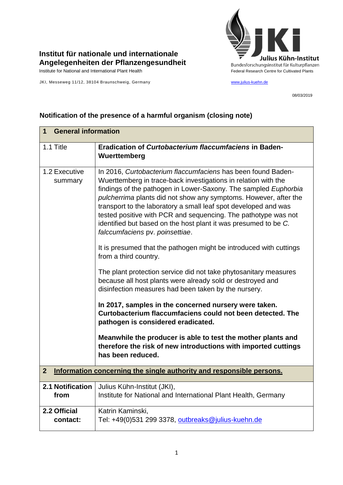

## **Institut für nationale und internationale Angelegenheiten der Pflanzengesundheit**

JKI, Messeweg 11/12, 38104 Braunschweig, Germany [www.julius-kuehn.de](http://www.julius-kuehn.de/)

08/03/2019

## **1 General information** 1.1 Title **Eradication of** *Curtobacterium flaccumfaciens* **in Baden-Wuerttemberg** 1.2 Executive summary In 2016, *Curtobacterium flaccumfaciens* has been found Baden-Wuerttemberg in trace-back investigations in relation with the findings of the pathogen in Lower-Saxony. The sampled *Euphorbia pulcherrima* plants did not show any symptoms. However, after the transport to the laboratory a small leaf spot developed and was tested positive with PCR and sequencing. The pathotype was not identified but based on the host plant it was presumed to be *C. falccumfaciens* pv. *poinsettiae*. It is presumed that the pathogen might be introduced with cuttings from a third country. The plant protection service did not take phytosanitary measures because all host plants were already sold or destroyed and disinfection measures had been taken by the nursery. **In 2017, samples in the concerned nursery were taken. Curtobacterium flaccumfaciens could not been detected. The pathogen is considered eradicated. Meanwhile the producer is able to test the mother plants and therefore the risk of new introductions with imported cuttings has been reduced. 2 Information concerning the single authority and responsible persons. 2.1 Notification from**  Julius Kühn-Institut (JKI), Institute for National and International Plant Health, Germany **2.2 Official contact:**  Katrin Kaminski, Tel: +49(0)531 299 3378, [outbreaks@julius-kuehn.de](mailto:outbreaks@julius-kuehn.de)

## **Notification of the presence of a harmful organism (closing note)**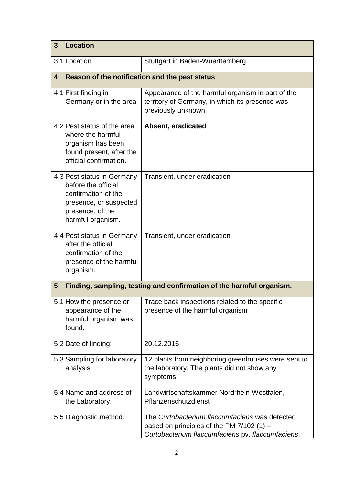| <b>Location</b><br>3                                                                                                                        |                                                                                                                                                    |  |
|---------------------------------------------------------------------------------------------------------------------------------------------|----------------------------------------------------------------------------------------------------------------------------------------------------|--|
| 3.1 Location                                                                                                                                | Stuttgart in Baden-Wuerttemberg                                                                                                                    |  |
| Reason of the notification and the pest status<br>4                                                                                         |                                                                                                                                                    |  |
| 4.1 First finding in<br>Germany or in the area                                                                                              | Appearance of the harmful organism in part of the<br>territory of Germany, in which its presence was<br>previously unknown                         |  |
| 4.2 Pest status of the area<br>where the harmful<br>organism has been<br>found present, after the<br>official confirmation.                 | Absent, eradicated                                                                                                                                 |  |
| 4.3 Pest status in Germany<br>before the official<br>confirmation of the<br>presence, or suspected<br>presence, of the<br>harmful organism. | Transient, under eradication                                                                                                                       |  |
| 4.4 Pest status in Germany<br>after the official<br>confirmation of the<br>presence of the harmful<br>organism.                             | Transient, under eradication                                                                                                                       |  |
| Finding, sampling, testing and confirmation of the harmful organism.<br>$5\phantom{.0}$                                                     |                                                                                                                                                    |  |
| 5.1 How the presence or<br>appearance of the<br>harmful organism was<br>found.                                                              | Trace back inspections related to the specific<br>presence of the harmful organism                                                                 |  |
| 5.2 Date of finding:                                                                                                                        | 20.12.2016                                                                                                                                         |  |
| 5.3 Sampling for laboratory<br>analysis.                                                                                                    | 12 plants from neighboring greenhouses were sent to<br>the laboratory. The plants did not show any<br>symptoms.                                    |  |
| 5.4 Name and address of<br>the Laboratory.                                                                                                  | Landwirtschaftskammer Nordrhein-Westfalen,<br>Pflanzenschutzdienst                                                                                 |  |
| 5.5 Diagnostic method.                                                                                                                      | The Curtobacterium flaccumfaciens was detected<br>based on principles of the PM $7/102$ (1) -<br>Curtobacterium flaccumfaciens pv. flaccumfaciens. |  |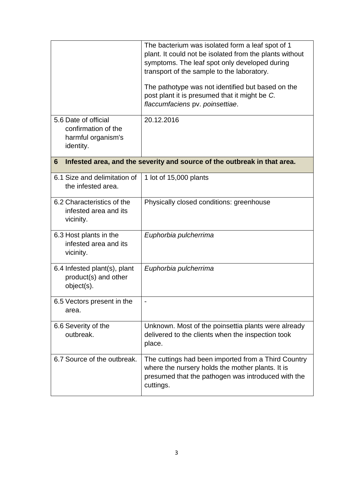|                                                                                | The bacterium was isolated form a leaf spot of 1<br>plant. It could not be isolated from the plants without<br>symptoms. The leaf spot only developed during<br>transport of the sample to the laboratory.<br>The pathotype was not identified but based on the<br>post plant it is presumed that it might be C.<br>flaccumfaciens pv. poinsettiae. |
|--------------------------------------------------------------------------------|-----------------------------------------------------------------------------------------------------------------------------------------------------------------------------------------------------------------------------------------------------------------------------------------------------------------------------------------------------|
| 5.6 Date of official<br>confirmation of the<br>harmful organism's<br>identity. | 20.12.2016                                                                                                                                                                                                                                                                                                                                          |
| Infested area, and the severity and source of the outbreak in that area.<br>6  |                                                                                                                                                                                                                                                                                                                                                     |
| 6.1 Size and delimitation of<br>the infested area.                             | 1 lot of 15,000 plants                                                                                                                                                                                                                                                                                                                              |
| 6.2 Characteristics of the<br>infested area and its<br>vicinity.               | Physically closed conditions: greenhouse                                                                                                                                                                                                                                                                                                            |
| 6.3 Host plants in the<br>infested area and its<br>vicinity.                   | Euphorbia pulcherrima                                                                                                                                                                                                                                                                                                                               |
| 6.4 Infested plant(s), plant<br>product(s) and other<br>object(s).             | Euphorbia pulcherrima                                                                                                                                                                                                                                                                                                                               |
| 6.5 Vectors present in the<br>area.                                            |                                                                                                                                                                                                                                                                                                                                                     |
| 6.6 Severity of the<br>outbreak.                                               | Unknown. Most of the poinsettia plants were already<br>delivered to the clients when the inspection took<br>place.                                                                                                                                                                                                                                  |
| 6.7 Source of the outbreak.                                                    | The cuttings had been imported from a Third Country<br>where the nursery holds the mother plants. It is<br>presumed that the pathogen was introduced with the<br>cuttings.                                                                                                                                                                          |